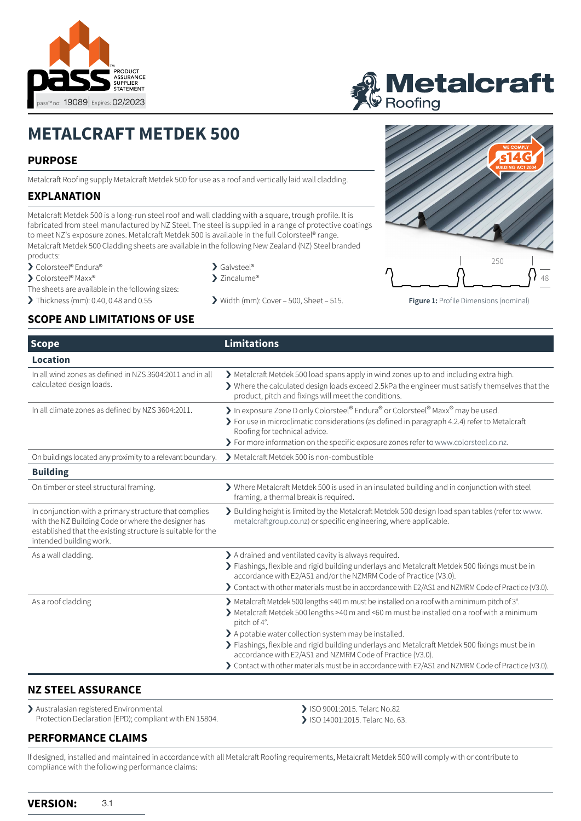



# **METALCRAFT METDEK 500**

# **PURPOSE**

Metalcraft Roofing supply Metalcraft Metdek 500 for use as a roof and vertically laid wall cladding.

# **EXPLANATION**

Metalcraft Metdek 500 is a long-run steel roof and wall cladding with a square, trough profile. It is fabricated from steel manufactured by NZ Steel. The steel is supplied in a range of protective coatings to meet NZ's exposure zones. Metalcraft Metdek 500 is available in the full Colorsteel® range.

Metalcraft Metdek 500 Cladding sheets are available in the following New Zealand (NZ) Steel branded products:

- > Colorsteel® Endura®
- > Colorsteel® Maxx®
- The sheets are available in the following sizes:
- 
- > Galvsteel®
- ▶ Zincalume®
- 



# **SCOPE AND LIMITATIONS OF USE**

| <b>Scope</b>                                                                                                                                                                                           | <b>Limitations</b>                                                                                                                                                                                                                                                                                                                                                                                                                                                                                                                          |
|--------------------------------------------------------------------------------------------------------------------------------------------------------------------------------------------------------|---------------------------------------------------------------------------------------------------------------------------------------------------------------------------------------------------------------------------------------------------------------------------------------------------------------------------------------------------------------------------------------------------------------------------------------------------------------------------------------------------------------------------------------------|
| Location                                                                                                                                                                                               |                                                                                                                                                                                                                                                                                                                                                                                                                                                                                                                                             |
| In all wind zones as defined in NZS 3604:2011 and in all<br>calculated design loads.                                                                                                                   | > Metalcraft Metdek 500 load spans apply in wind zones up to and including extra high.<br>> Where the calculated design loads exceed 2.5kPa the engineer must satisfy themselves that the<br>product, pitch and fixings will meet the conditions.                                                                                                                                                                                                                                                                                           |
| In all climate zones as defined by NZS 3604:2011.                                                                                                                                                      | > In exposure Zone D only Colorsteel® Endura® or Colorsteel® Maxx® may be used.<br>> For use in microclimatic considerations (as defined in paragraph 4.2.4) refer to Metalcraft<br>Roofing for technical advice.<br>> For more information on the specific exposure zones refer to www.colorsteel.co.nz.                                                                                                                                                                                                                                   |
| On buildings located any proximity to a relevant boundary.                                                                                                                                             | Metalcraft Metdek 500 is non-combustible                                                                                                                                                                                                                                                                                                                                                                                                                                                                                                    |
| <b>Building</b>                                                                                                                                                                                        |                                                                                                                                                                                                                                                                                                                                                                                                                                                                                                                                             |
| On timber or steel structural framing.                                                                                                                                                                 | $\blacktriangleright$ Where Metalcraft Metdek 500 is used in an insulated building and in conjunction with steel<br>framing, a thermal break is required.                                                                                                                                                                                                                                                                                                                                                                                   |
| In conjunction with a primary structure that complies<br>with the NZ Building Code or where the designer has<br>established that the existing structure is suitable for the<br>intended building work. | > Building height is limited by the Metalcraft Metdek 500 design load span tables (refer to: www.<br>metalcraftgroup.co.nz) or specific engineering, where applicable.                                                                                                                                                                                                                                                                                                                                                                      |
| As a wall cladding.                                                                                                                                                                                    | > A drained and ventilated cavity is always required.<br>> Flashings, flexible and rigid building underlays and Metalcraft Metdek 500 fixings must be in<br>accordance with E2/AS1 and/or the NZMRM Code of Practice (V3.0).<br>> Contact with other materials must be in accordance with E2/AS1 and NZMRM Code of Practice (V3.0).                                                                                                                                                                                                         |
| As a roof cladding                                                                                                                                                                                     | > Metalcraft Metdek 500 lengths ≤40 m must be installed on a roof with a minimum pitch of 3°.<br>> Metalcraft Metdek 500 lengths >40 m and <60 m must be installed on a roof with a minimum<br>pitch of 4°.<br>> A potable water collection system may be installed.<br>> Flashings, flexible and rigid building underlays and Metalcraft Metdek 500 fixings must be in<br>accordance with E2/AS1 and NZMRM Code of Practice (V3.0).<br>> Contact with other materials must be in accordance with E2/AS1 and NZMRM Code of Practice (V3.0). |

#### **NZ STEEL ASSURANCE**

> Australasian registered Environmental Protection Declaration (EPD); compliant with EN 15804.

- > ISO 9001:2015. Telarc No.82
- > ISO 14001:2015. Telarc No. 63.

### **PERFORMANCE CLAIMS**

If designed, installed and maintained in accordance with all Metalcraft Roofing requirements, Metalcraft Metdek 500 will comply with or contribute to compliance with the following performance claims: